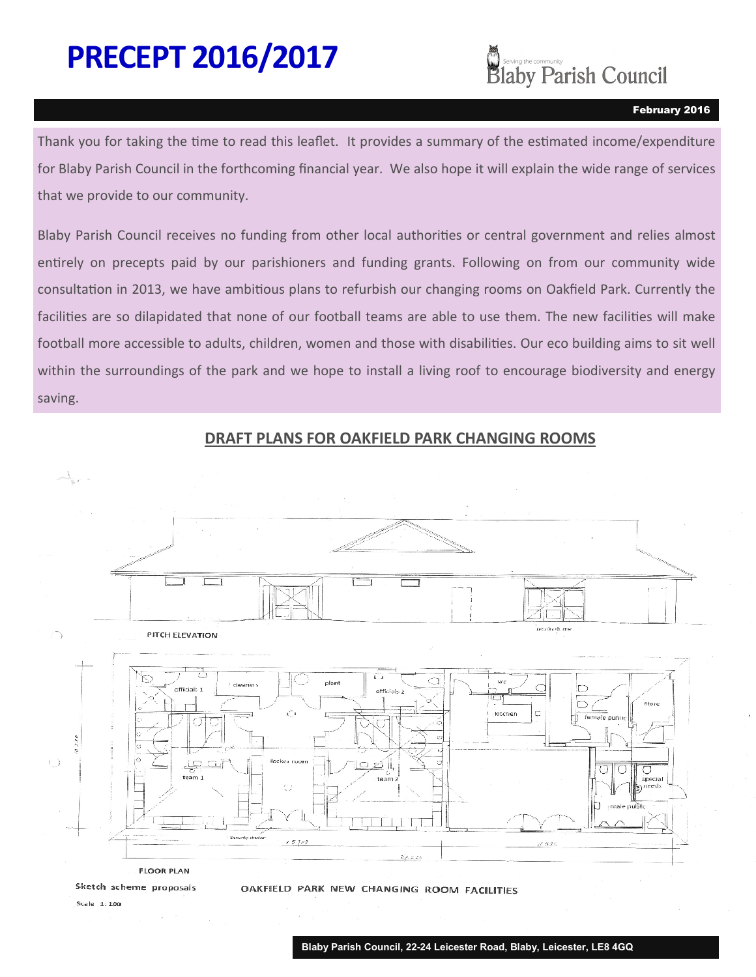# **PRECEPT 2016/2017**



#### February 2016

Thank you for taking the time to read this leaflet. It provides a summary of the estimated income/expenditure for Blaby Parish Council in the forthcoming financial year. We also hope it will explain the wide range of services that we provide to our community.

Blaby Parish Council receives no funding from other local authorities or central government and relies almost entirely on precepts paid by our parishioners and funding grants. Following on from our community wide consultation in 2013, we have ambitious plans to refurbish our changing rooms on Oakfield Park. Currently the facilities are so dilapidated that none of our football teams are able to use them. The new facilities will make football more accessible to adults, children, women and those with disabilities. Our eco building aims to sit well within the surroundings of the park and we hope to install a living roof to encourage biodiversity and energy saving.





Sketch scheme proposals

OAKFIELD PARK NEW CHANGING ROOM FACILITIES

Scale 1:100